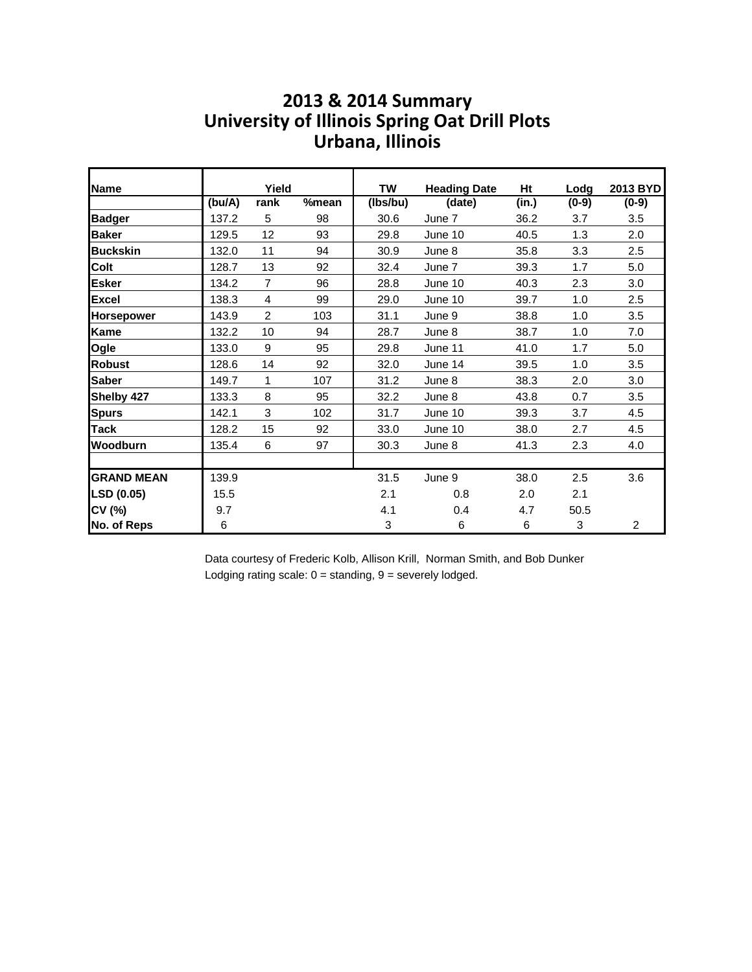#### **2013 & 2014 Summary Urbana, Illinois University of Illinois Spring Oat Drill Plots**

| Name              |        | Yield          |       | TW       | <b>Heading Date</b> | Ht    | Lodg    | 2013 BYD       |
|-------------------|--------|----------------|-------|----------|---------------------|-------|---------|----------------|
|                   | (bu/A) | rank           | %mean | (lbs/bu) | (date)              | (in.) | $(0-9)$ | $(0-9)$        |
| <b>Badger</b>     | 137.2  | 5              | 98    | 30.6     | June 7              | 36.2  | 3.7     | 3.5            |
| <b>Baker</b>      | 129.5  | 12             | 93    | 29.8     | June 10             | 40.5  | 1.3     | 2.0            |
| <b>Buckskin</b>   | 132.0  | 11             | 94    | 30.9     | June 8              | 35.8  | 3.3     | 2.5            |
| <b>Colt</b>       | 128.7  | 13             | 92    | 32.4     | June 7              | 39.3  | 1.7     | 5.0            |
| <b>Esker</b>      | 134.2  | $\overline{7}$ | 96    | 28.8     | June 10             | 40.3  | 2.3     | 3.0            |
| <b>Excel</b>      | 138.3  | $\overline{4}$ | 99    | 29.0     | June 10             | 39.7  | 1.0     | 2.5            |
| <b>Horsepower</b> | 143.9  | $\overline{2}$ | 103   | 31.1     | June 9              | 38.8  | 1.0     | 3.5            |
| <b>Kame</b>       | 132.2  | 10             | 94    | 28.7     | June 8              | 38.7  | 1.0     | 7.0            |
| Ogle              | 133.0  | 9              | 95    | 29.8     | June 11             | 41.0  | 1.7     | 5.0            |
| <b>Robust</b>     | 128.6  | 14             | 92    | 32.0     | June 14             | 39.5  | 1.0     | 3.5            |
| <b>Saber</b>      | 149.7  | 1              | 107   | 31.2     | June 8              | 38.3  | 2.0     | 3.0            |
| Shelby 427        | 133.3  | 8              | 95    | 32.2     | June 8              | 43.8  | 0.7     | 3.5            |
| <b>Spurs</b>      | 142.1  | 3              | 102   | 31.7     | June 10             | 39.3  | 3.7     | 4.5            |
| <b>Tack</b>       | 128.2  | 15             | 92    | 33.0     | June 10             | 38.0  | 2.7     | 4.5            |
| Woodburn          | 135.4  | 6              | 97    | 30.3     | June 8              | 41.3  | 2.3     | 4.0            |
|                   |        |                |       |          |                     |       |         |                |
| <b>GRAND MEAN</b> | 139.9  |                |       | 31.5     | June 9              | 38.0  | 2.5     | 3.6            |
| LSD (0.05)        | 15.5   |                |       | 2.1      | 0.8                 | 2.0   | 2.1     |                |
| CV (%)            | 9.7    |                |       | 4.1      | 0.4                 | 4.7   | 50.5    |                |
| No. of Reps       | 6      |                |       | 3        | 6                   | 6     | 3       | $\overline{c}$ |

Data courtesy of Frederic Kolb, Allison Krill, Norman Smith, and Bob Dunker Lodging rating scale:  $0 =$  standing,  $9 =$  severely lodged.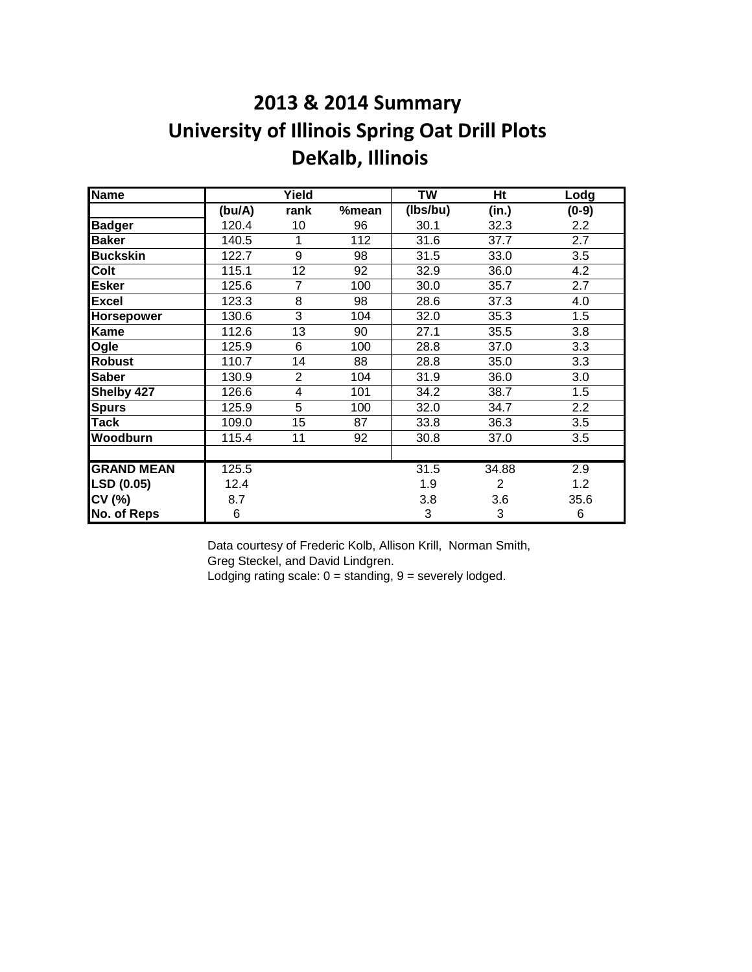# **2013 & 2014 Summary University of Illinois Spring Oat Drill Plots DeKalb, Illinois**

| <b>Name</b>       |        | Yield          |       | <b>TW</b> | $\overline{Ht}$ | Lodg    |
|-------------------|--------|----------------|-------|-----------|-----------------|---------|
|                   | (bu/A) | rank           | %mean | (lbs/bu)  | (in.)           | $(0-9)$ |
| <b>Badger</b>     | 120.4  | 10             | 96    | 30.1      | 32.3            | 2.2     |
| <b>Baker</b>      | 140.5  | 1              | 112   | 31.6      | 37.7            | 2.7     |
| <b>Buckskin</b>   | 122.7  | 9              | 98    | 31.5      | 33.0            | 3.5     |
| Colt              | 115.1  | 12             | 92    | 32.9      | 36.0            | 4.2     |
| <b>Esker</b>      | 125.6  | 7              | 100   | 30.0      | 35.7            | 2.7     |
| <b>Excel</b>      | 123.3  | 8              | 98    | 28.6      | 37.3            | 4.0     |
| Horsepower        | 130.6  | 3              | 104   | 32.0      | 35.3            | 1.5     |
| Kame              | 112.6  | 13             | 90    | 27.1      | 35.5            | 3.8     |
| Ogle              | 125.9  | 6              | 100   | 28.8      | 37.0            | 3.3     |
| <b>Robust</b>     | 110.7  | 14             | 88    | 28.8      | 35.0            | 3.3     |
| <b>Saber</b>      | 130.9  | $\overline{2}$ | 104   | 31.9      | 36.0            | 3.0     |
| Shelby 427        | 126.6  | 4              | 101   | 34.2      | 38.7            | 1.5     |
| <b>Spurs</b>      | 125.9  | 5              | 100   | 32.0      | 34.7            | 2.2     |
| Tack              | 109.0  | 15             | 87    | 33.8      | 36.3            | 3.5     |
| Woodburn          | 115.4  | 11             | 92    | 30.8      | 37.0            | 3.5     |
|                   |        |                |       |           |                 |         |
| <b>GRAND MEAN</b> | 125.5  |                |       | 31.5      | 34.88           | 2.9     |
| LSD (0.05)        | 12.4   |                |       | 1.9       | 2               | 1.2     |
| CV (%)            | 8.7    |                |       | 3.8       | 3.6             | 35.6    |
| No. of Reps       | 6      |                |       | 3         | 3               | 6       |

Data courtesy of Frederic Kolb, Allison Krill, Norman Smith, Greg Steckel, and David Lindgren.

Lodging rating scale:  $0 =$  standing,  $9 =$  severely lodged.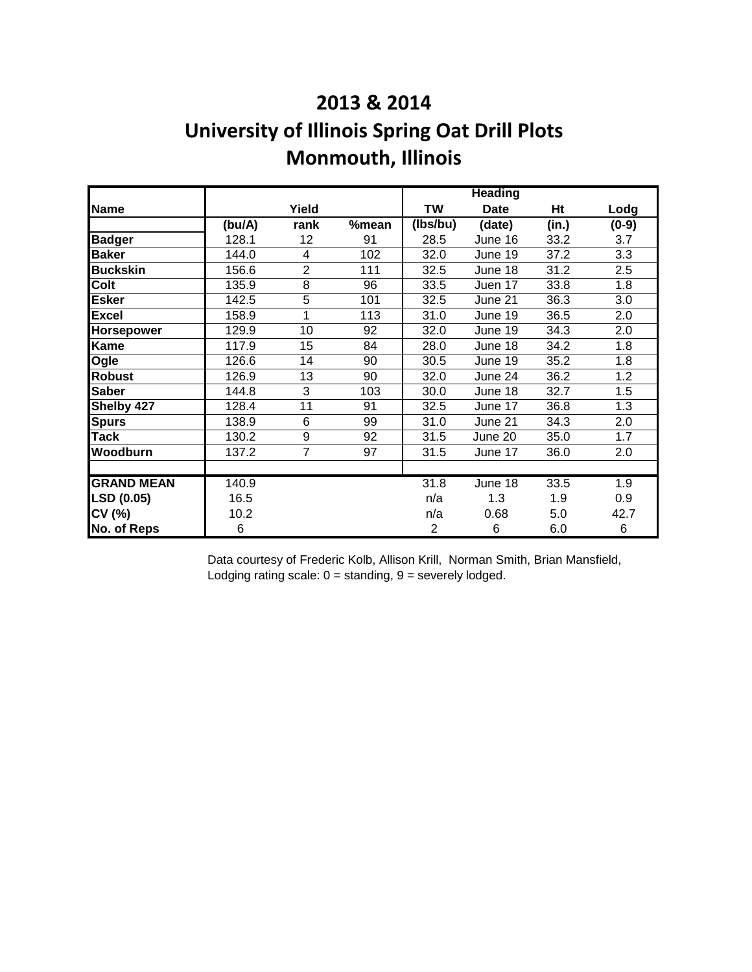### **2013 & 2014**

# **University of Illinois Spring Oat Drill Plots Monmouth, Illinois**

|                   |         |                |       |                | <b>Heading</b> |       |         |
|-------------------|---------|----------------|-------|----------------|----------------|-------|---------|
| <b>Name</b>       |         | Yield          |       | <b>TW</b>      | <b>Date</b>    | Ht    | Lodg    |
|                   | (bu/A)  | rank           | %mean | (Ibs/bu)       | (date)         | (in.) | $(0-9)$ |
| <b>Badger</b>     | 128.1   | 12             | 91    | 28.5           | June 16        | 33.2  | 3.7     |
| <b>Baker</b>      | 144.0   | 4              | 102   | 32.0           | June 19        | 37.2  | 3.3     |
| <b>Buckskin</b>   | 156.6   | $\overline{2}$ | 111   | 32.5           | June 18        | 31.2  | 2.5     |
| Colt              | 135.9   | 8              | 96    | 33.5           | Juen 17        | 33.8  | 1.8     |
| Esker             | 142.5   | 5              | 101   | 32.5           | June 21        | 36.3  | 3.0     |
| <b>Excel</b>      | 158.9   | 1              | 113   | 31.0           | June 19        | 36.5  | 2.0     |
| Horsepower        | 129.9   | 10             | 92    | 32.0           | June 19        | 34.3  | 2.0     |
| Kame              | 117.9   | 15             | 84    | 28.0           | June 18        | 34.2  | 1.8     |
| Ogle              | 126.6   | 14             | 90    | 30.5           | June 19        | 35.2  | 1.8     |
| <b>Robust</b>     | 126.9   | 13             | 90    | 32.0           | June 24        | 36.2  | 1.2     |
| <b>Saber</b>      | 144.8   | 3              | 103   | 30.0           | June 18        | 32.7  | 1.5     |
| Shelby 427        | 128.4   | 11             | 91    | 32.5           | June 17        | 36.8  | 1.3     |
| <b>Spurs</b>      | 138.9   | 6              | 99    | 31.0           | June 21        | 34.3  | 2.0     |
| <b>Tack</b>       | 130.2   | 9              | 92    | 31.5           | June 20        | 35.0  | 1.7     |
| Woodburn          | 137.2   | 7              | 97    | 31.5           | June 17        | 36.0  | 2.0     |
|                   |         |                |       |                |                |       |         |
| <b>GRAND MEAN</b> | 140.9   |                |       | 31.8           | June 18        | 33.5  | 1.9     |
| LSD (0.05)        | 16.5    |                |       | n/a            | 1.3            | 1.9   | 0.9     |
| CV (%)            | 10.2    |                |       | n/a            | 0.68           | 5.0   | 42.7    |
| No. of Reps       | $\,6\,$ |                |       | $\overline{2}$ | 6              | 6.0   | 6       |

Data courtesy of Frederic Kolb, Allison Krill, Norman Smith, Brian Mansfield, Lodging rating scale:  $0 =$  standing,  $9 =$  severely lodged.